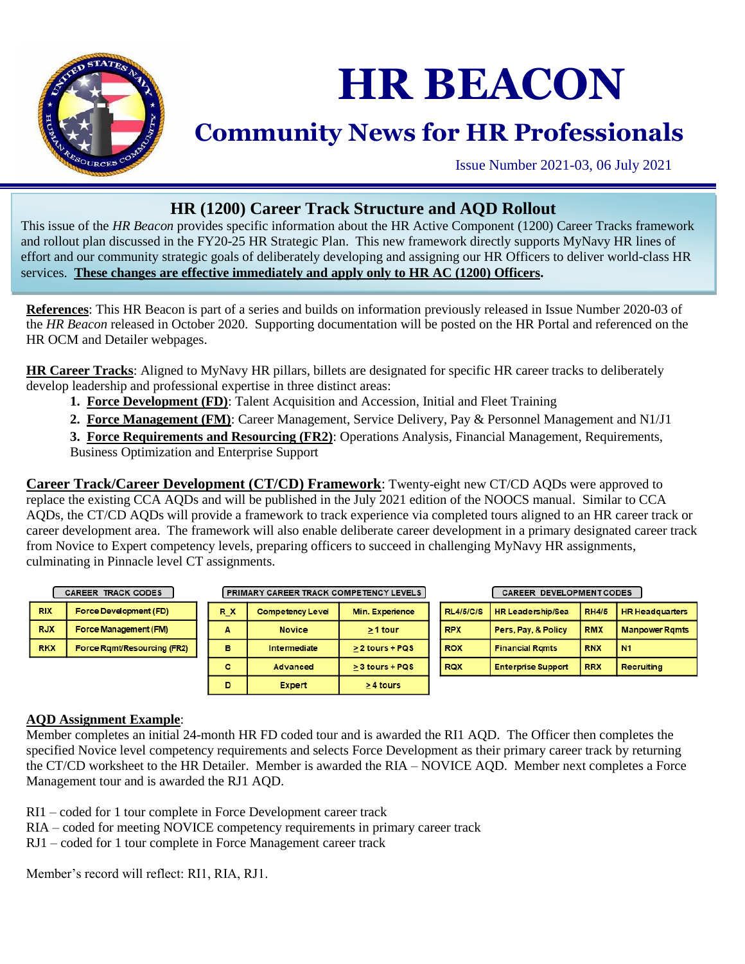

# **HR BEACON**

## **Community News for HR Professionals**

Issue Number 2021-03, 06 July 2021

### **HR (1200) Career Track Structure and AQD Rollout**

This issue of the *HR Beacon* provides specific information about the HR Active Component (1200) Career Tracks framework and rollout plan discussed in the FY20-25 HR Strategic Plan. This new framework directly supports MyNavy HR lines of effort and our community strategic goals of deliberately developing and assigning our HR Officers to deliver world-class HR services. **These changes are effective immediately and apply only to HR AC (1200) Officers.**

**References**: This HR Beacon is part of a series and builds on information previously released in Issue Number 2020-03 of the *HR Beacon* released in October 2020. Supporting documentation will be posted on the HR Portal and referenced on the HR OCM and Detailer webpages.

**HR Career Tracks**: Aligned to MyNavy HR pillars, billets are designated for specific HR career tracks to deliberately develop leadership and professional expertise in three distinct areas:

- **1. Force Development (FD)**: Talent Acquisition and Accession, Initial and Fleet Training
- **2. Force Management (FM)**: Career Management, Service Delivery, Pay & Personnel Management and N1/J1

**3. Force Requirements and Resourcing (FR2)**: Operations Analysis, Financial Management, Requirements, Business Optimization and Enterprise Support

**Career Track/Career Development (CT/CD) Framework**: Twenty-eight new CT/CD AQDs were approved to replace the existing CCA AQDs and will be published in the July 2021 edition of the NOOCS manual. Similar to CCA AQDs, the CT/CD AQDs will provide a framework to track experience via completed tours aligned to an HR career track or career development area. The framework will also enable deliberate career development in a primary designated career track from Novice to Expert competency levels, preparing officers to succeed in challenging MyNavy HR assignments, culminating in Pinnacle level CT assignments.

|  | <b>TRACK CODES</b><br><b>CAREER</b> |                             | <b>PRIMARY CAREER TRACK COMPETENCY LEVELS</b> |                         |                   |                                |                     | <b>CAREER DEVELOPMENTCODES</b> |                        |                   |  |
|--|-------------------------------------|-----------------------------|-----------------------------------------------|-------------------------|-------------------|--------------------------------|---------------------|--------------------------------|------------------------|-------------------|--|
|  | <b>RIX</b>                          | Force Development (FD)      | R X                                           | <b>Competency Level</b> | Min. Experience   | <b>RL4/5/C/S</b><br><b>RPX</b> | HR Leadership/Sea   | <b>RH4/5</b>                   | <b>HR Headquarters</b> |                   |  |
|  | <b>RJX</b>                          | Force Management (FM)       | А                                             | <b>Novice</b>           | $>1$ tour         |                                | Pers, Pay, & Policy | <b>RMX</b>                     | <b>Manpower Rgmts</b>  |                   |  |
|  | <b>RKX</b>                          | Force Ramt/Resourcing (FR2) | в                                             | Intermediate            | $> 2$ tours + PQS | <b>ROX</b>                     |                     | <b>Financial Ramts</b>         | <b>RNX</b>             | l N1              |  |
|  |                                     |                             | c                                             | Advanced                | > 3 tours + PQS   | <b>RQX</b>                     |                     | <b>Enterprise Support</b>      | <b>RRX</b>             | <b>Recruiting</b> |  |
|  |                                     |                             | D                                             | <b>Expert</b>           | >4 tours          |                                |                     |                                |                        |                   |  |

#### **AQD Assignment Example**:

Member completes an initial 24-month HR FD coded tour and is awarded the RI1 AQD. The Officer then completes the specified Novice level competency requirements and selects Force Development as their primary career track by returning the CT/CD worksheet to the HR Detailer. Member is awarded the RIA – NOVICE AQD. Member next completes a Force Management tour and is awarded the RJ1 AQD.

RI1 – coded for 1 tour complete in Force Development career track

- RIA coded for meeting NOVICE competency requirements in primary career track
- RJ1 coded for 1 tour complete in Force Management career track

Member's record will reflect: RI1, RIA, RJ1.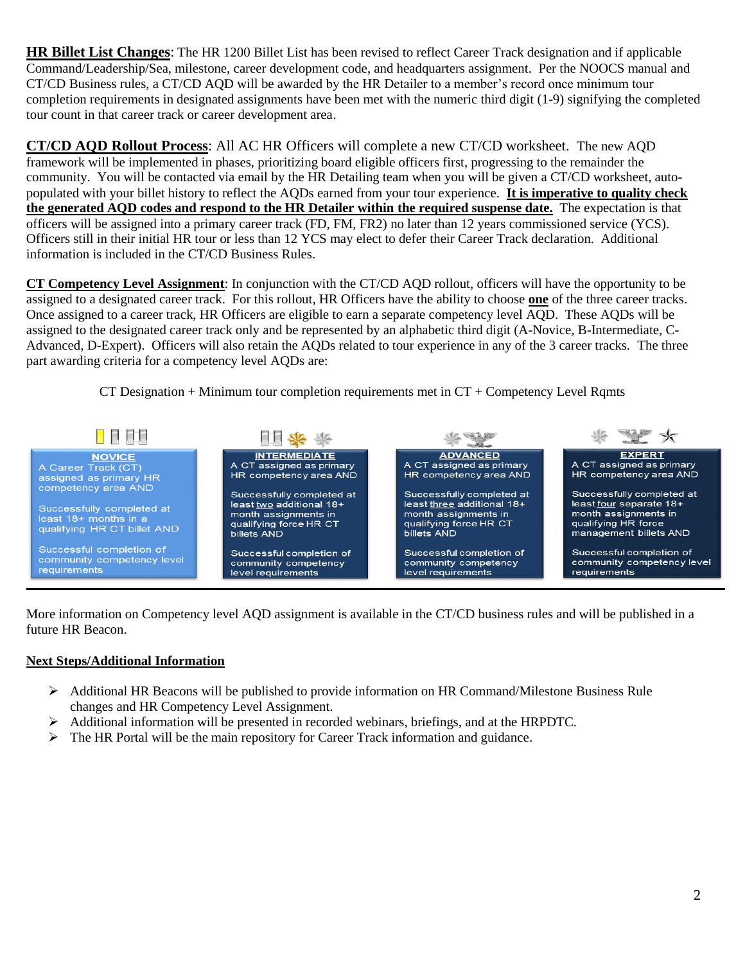**HR Billet List Changes**: The HR 1200 Billet List has been revised to reflect Career Track designation and if applicable Command/Leadership/Sea, milestone, career development code, and headquarters assignment. Per the NOOCS manual and CT/CD Business rules, a CT/CD AQD will be awarded by the HR Detailer to a member's record once minimum tour completion requirements in designated assignments have been met with the numeric third digit (1-9) signifying the completed tour count in that career track or career development area.

**CT/CD AQD Rollout Process**: All AC HR Officers will complete a new CT/CD worksheet. The new AQD framework will be implemented in phases, prioritizing board eligible officers first, progressing to the remainder the community. You will be contacted via email by the HR Detailing team when you will be given a CT/CD worksheet, autopopulated with your billet history to reflect the AQDs earned from your tour experience. **It is imperative to quality check the generated AQD codes and respond to the HR Detailer within the required suspense date.** The expectation is that officers will be assigned into a primary career track (FD, FM, FR2) no later than 12 years commissioned service (YCS). Officers still in their initial HR tour or less than 12 YCS may elect to defer their Career Track declaration. Additional information is included in the CT/CD Business Rules.

**CT Competency Level Assignment**: In conjunction with the CT/CD AQD rollout, officers will have the opportunity to be assigned to a designated career track. For this rollout, HR Officers have the ability to choose **one** of the three career tracks. Once assigned to a career track, HR Officers are eligible to earn a separate competency level AQD. These AQDs will be assigned to the designated career track only and be represented by an alphabetic third digit (A-Novice, B-Intermediate, C-Advanced, D-Expert). Officers will also retain the AQDs related to tour experience in any of the 3 career tracks. The three part awarding criteria for a competency level AQDs are:

CT Designation  $+$  Minimum tour completion requirements met in  $CT +$  Competency Level Rqmts



More information on Competency level AQD assignment is available in the CT/CD business rules and will be published in a future HR Beacon.

#### **Next Steps/Additional Information**

- $\triangleright$  Additional HR Beacons will be published to provide information on HR Command/Milestone Business Rule changes and HR Competency Level Assignment.
- $\triangleright$  Additional information will be presented in recorded webinars, briefings, and at the HRPDTC.
- $\triangleright$  The HR Portal will be the main repository for Career Track information and guidance.